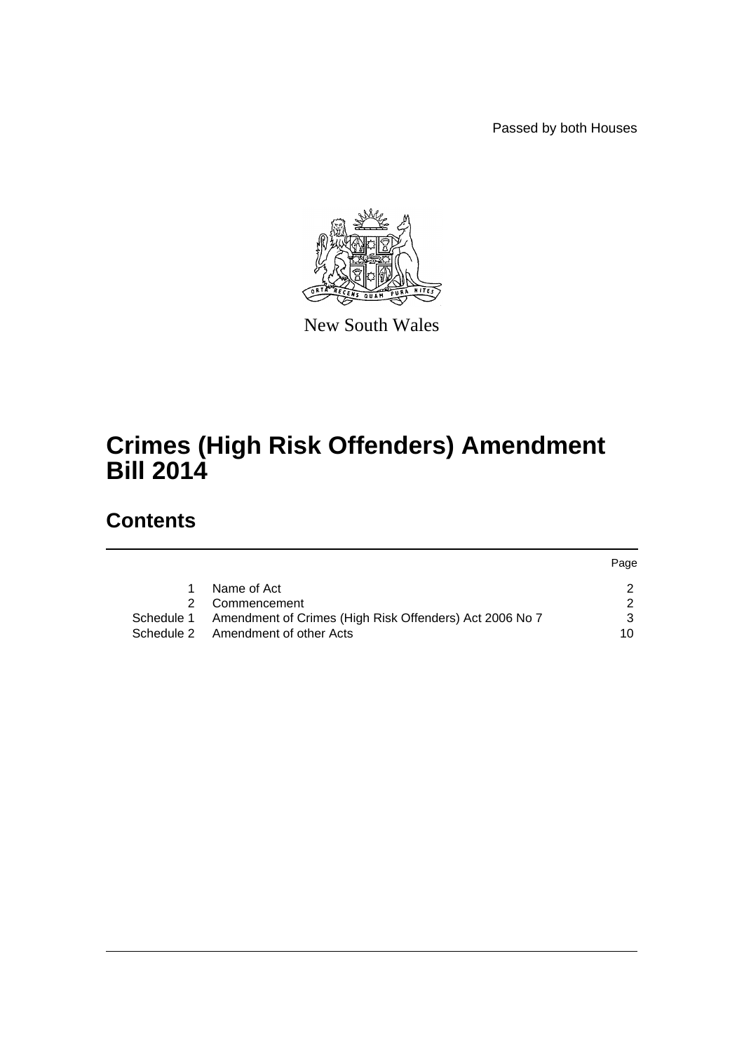Passed by both Houses



New South Wales

# **Crimes (High Risk Offenders) Amendment Bill 2014**

# **Contents**

|   |                                                                    | Page |
|---|--------------------------------------------------------------------|------|
|   | Name of Act                                                        |      |
| 2 | Commencement                                                       |      |
|   | Schedule 1 Amendment of Crimes (High Risk Offenders) Act 2006 No 7 |      |
|   | Schedule 2 Amendment of other Acts                                 | 10   |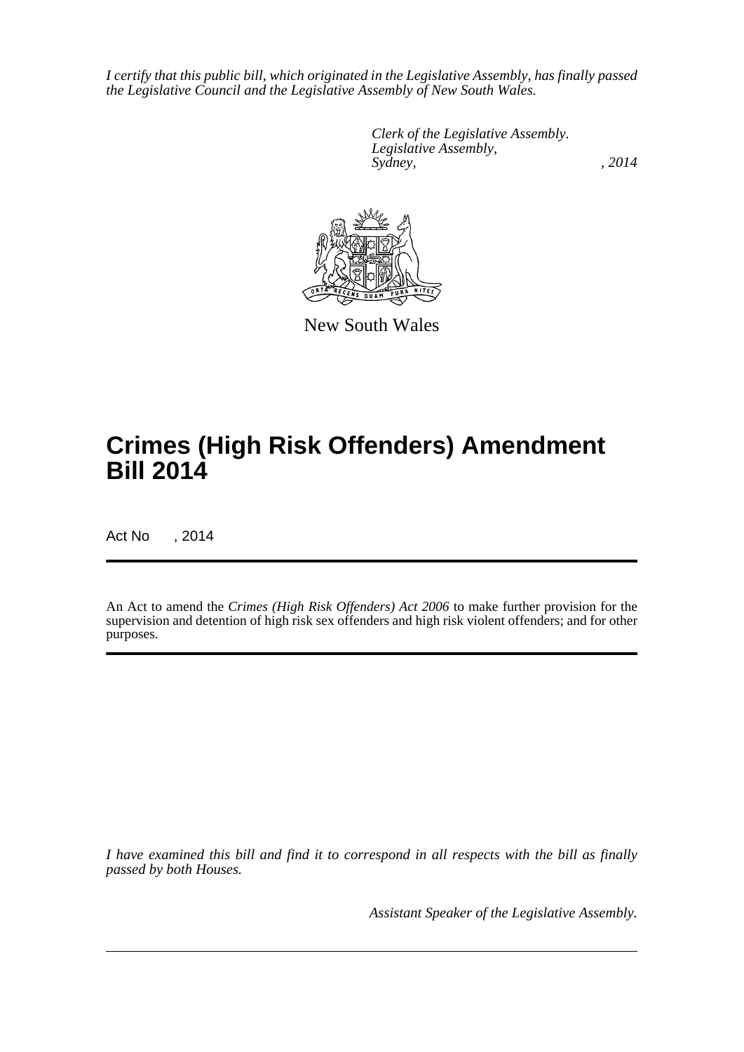*I certify that this public bill, which originated in the Legislative Assembly, has finally passed the Legislative Council and the Legislative Assembly of New South Wales.*

> *Clerk of the Legislative Assembly. Legislative Assembly, Sydney,* , 2014



New South Wales

# **Crimes (High Risk Offenders) Amendment Bill 2014**

Act No , 2014

An Act to amend the *Crimes (High Risk Offenders) Act 2006* to make further provision for the supervision and detention of high risk sex offenders and high risk violent offenders; and for other purposes.

*I have examined this bill and find it to correspond in all respects with the bill as finally passed by both Houses.*

*Assistant Speaker of the Legislative Assembly.*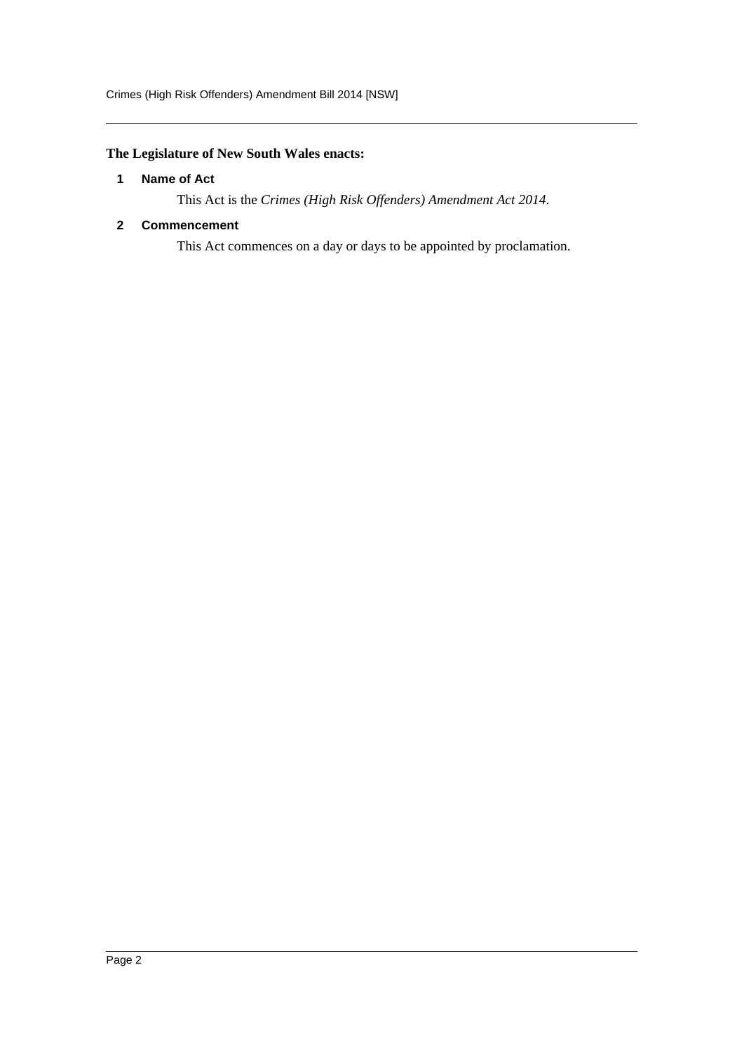# <span id="page-2-0"></span>**The Legislature of New South Wales enacts:**

#### **1 Name of Act**

This Act is the *Crimes (High Risk Offenders) Amendment Act 2014*.

#### <span id="page-2-1"></span>**2 Commencement**

This Act commences on a day or days to be appointed by proclamation.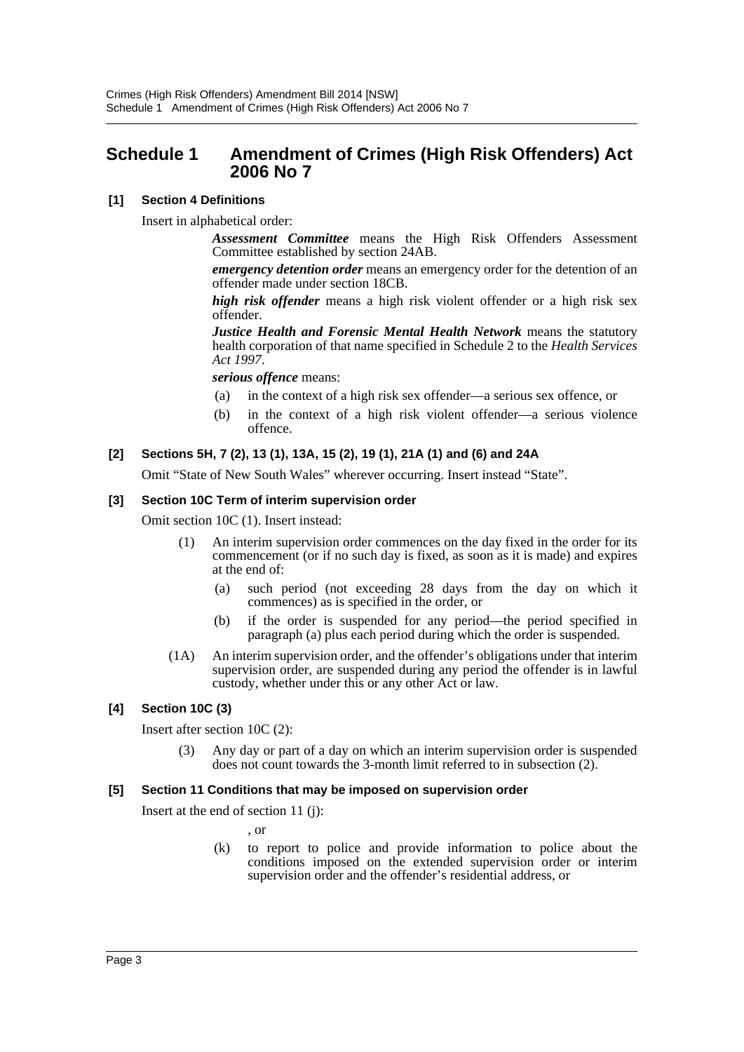# <span id="page-3-0"></span>**Schedule 1 Amendment of Crimes (High Risk Offenders) Act 2006 No 7**

## **[1] Section 4 Definitions**

Insert in alphabetical order:

*Assessment Committee* means the High Risk Offenders Assessment Committee established by section 24AB.

*emergency detention order* means an emergency order for the detention of an offender made under section 18CB.

*high risk offender* means a high risk violent offender or a high risk sex offender.

*Justice Health and Forensic Mental Health Network* means the statutory health corporation of that name specified in Schedule 2 to the *Health Services Act 1997*.

*serious offence* means:

- (a) in the context of a high risk sex offender—a serious sex offence, or
- (b) in the context of a high risk violent offender—a serious violence offence.

## **[2] Sections 5H, 7 (2), 13 (1), 13A, 15 (2), 19 (1), 21A (1) and (6) and 24A**

Omit "State of New South Wales" wherever occurring. Insert instead "State".

#### **[3] Section 10C Term of interim supervision order**

Omit section 10C (1). Insert instead:

- (1) An interim supervision order commences on the day fixed in the order for its commencement (or if no such day is fixed, as soon as it is made) and expires at the end of:
	- (a) such period (not exceeding 28 days from the day on which it commences) as is specified in the order, or
	- (b) if the order is suspended for any period—the period specified in paragraph (a) plus each period during which the order is suspended.
- (1A) An interim supervision order, and the offender's obligations under that interim supervision order, are suspended during any period the offender is in lawful custody, whether under this or any other Act or law.

## **[4] Section 10C (3)**

Insert after section 10C (2):

(3) Any day or part of a day on which an interim supervision order is suspended does not count towards the 3-month limit referred to in subsection (2).

#### **[5] Section 11 Conditions that may be imposed on supervision order**

Insert at the end of section 11 (j):

, or

(k) to report to police and provide information to police about the conditions imposed on the extended supervision order or interim supervision order and the offender's residential address, or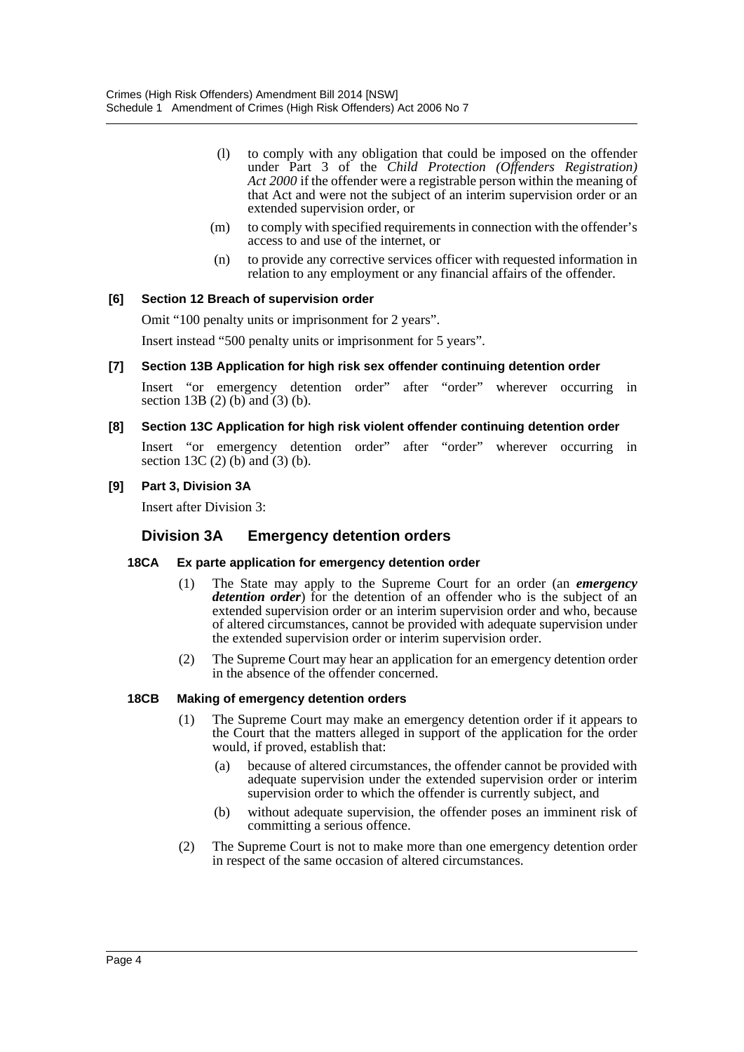- (l) to comply with any obligation that could be imposed on the offender under Part 3 of the *Child Protection (Offenders Registration) Act 2000* if the offender were a registrable person within the meaning of that Act and were not the subject of an interim supervision order or an extended supervision order, or
- (m) to comply with specified requirements in connection with the offender's access to and use of the internet, or
- (n) to provide any corrective services officer with requested information in relation to any employment or any financial affairs of the offender.

#### **[6] Section 12 Breach of supervision order**

Omit "100 penalty units or imprisonment for 2 years".

Insert instead "500 penalty units or imprisonment for 5 years".

**[7] Section 13B Application for high risk sex offender continuing detention order**

Insert "or emergency detention order" after "order" wherever occurring in section 13B (2) (b) and (3) (b).

#### **[8] Section 13C Application for high risk violent offender continuing detention order**

Insert "or emergency detention order" after "order" wherever occurring in section 13C (2) (b) and  $(3)$  (b).

#### **[9] Part 3, Division 3A**

Insert after Division 3:

## **Division 3A Emergency detention orders**

#### **18CA Ex parte application for emergency detention order**

- (1) The State may apply to the Supreme Court for an order (an *emergency* detention order) for the detention of an offender who is the subject of an extended supervision order or an interim supervision order and who, because of altered circumstances, cannot be provided with adequate supervision under the extended supervision order or interim supervision order.
- (2) The Supreme Court may hear an application for an emergency detention order in the absence of the offender concerned.

#### **18CB Making of emergency detention orders**

- (1) The Supreme Court may make an emergency detention order if it appears to the Court that the matters alleged in support of the application for the order would, if proved, establish that:
	- (a) because of altered circumstances, the offender cannot be provided with adequate supervision under the extended supervision order or interim supervision order to which the offender is currently subject, and
	- (b) without adequate supervision, the offender poses an imminent risk of committing a serious offence.
- (2) The Supreme Court is not to make more than one emergency detention order in respect of the same occasion of altered circumstances.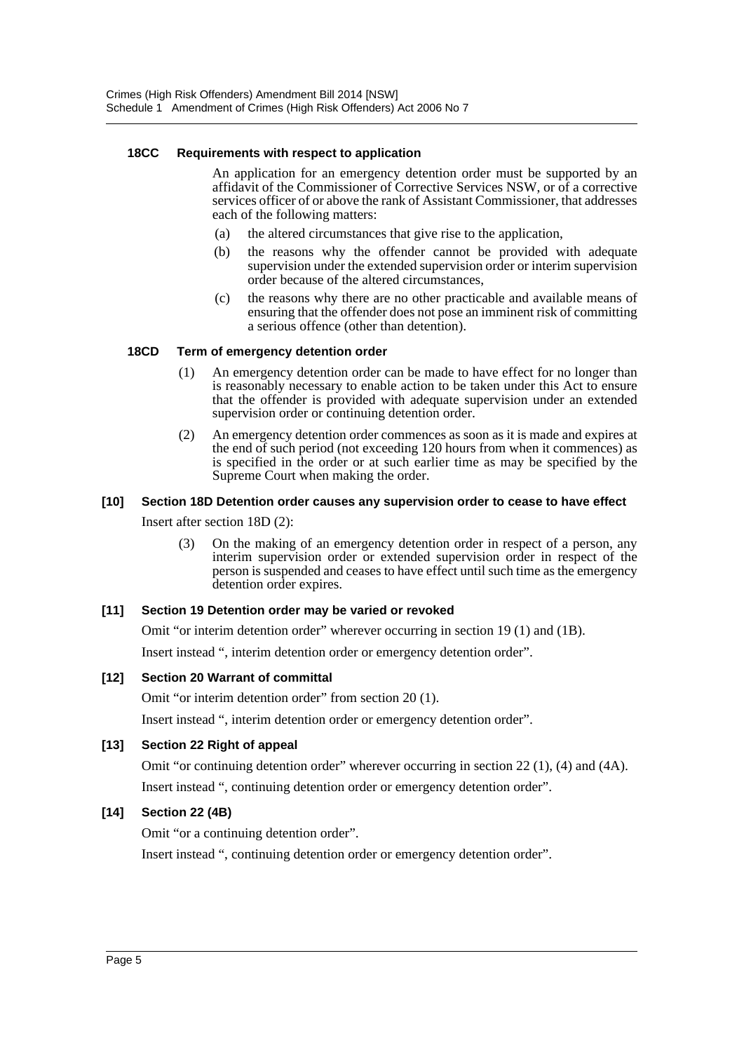#### **18CC Requirements with respect to application**

An application for an emergency detention order must be supported by an affidavit of the Commissioner of Corrective Services NSW, or of a corrective services officer of or above the rank of Assistant Commissioner, that addresses each of the following matters:

- (a) the altered circumstances that give rise to the application,
- (b) the reasons why the offender cannot be provided with adequate supervision under the extended supervision order or interim supervision order because of the altered circumstances,
- (c) the reasons why there are no other practicable and available means of ensuring that the offender does not pose an imminent risk of committing a serious offence (other than detention).

#### **18CD Term of emergency detention order**

- (1) An emergency detention order can be made to have effect for no longer than is reasonably necessary to enable action to be taken under this Act to ensure that the offender is provided with adequate supervision under an extended supervision order or continuing detention order.
- (2) An emergency detention order commences as soon as it is made and expires at the end of such period (not exceeding 120 hours from when it commences) as is specified in the order or at such earlier time as may be specified by the Supreme Court when making the order.

# **[10] Section 18D Detention order causes any supervision order to cease to have effect**

Insert after section 18D (2):

(3) On the making of an emergency detention order in respect of a person, any interim supervision order or extended supervision order in respect of the person is suspended and ceases to have effect until such time as the emergency detention order expires.

#### **[11] Section 19 Detention order may be varied or revoked**

Omit "or interim detention order" wherever occurring in section 19 (1) and (1B).

Insert instead ", interim detention order or emergency detention order".

#### **[12] Section 20 Warrant of committal**

Omit "or interim detention order" from section 20 (1).

Insert instead ", interim detention order or emergency detention order".

#### **[13] Section 22 Right of appeal**

Omit "or continuing detention order" wherever occurring in section 22 (1), (4) and (4A). Insert instead ", continuing detention order or emergency detention order".

#### **[14] Section 22 (4B)**

Omit "or a continuing detention order".

Insert instead ", continuing detention order or emergency detention order".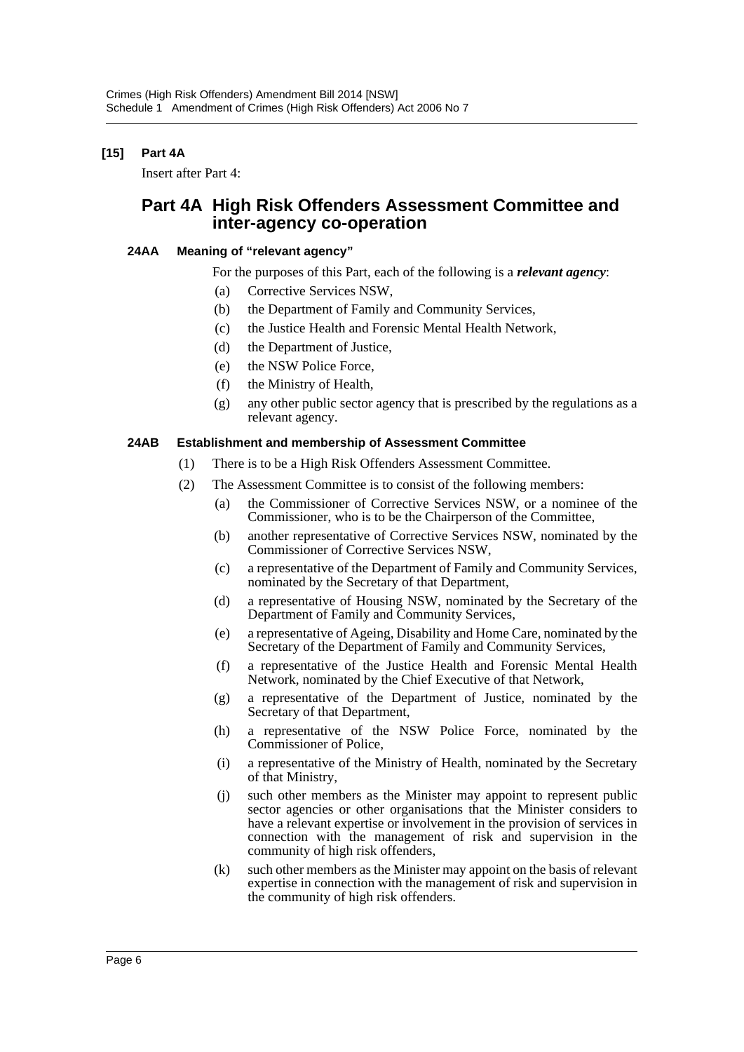# **[15] Part 4A**

Insert after Part 4:

# **Part 4A High Risk Offenders Assessment Committee and inter-agency co-operation**

#### **24AA Meaning of "relevant agency"**

For the purposes of this Part, each of the following is a *relevant agency*:

- (a) Corrective Services NSW,
- (b) the Department of Family and Community Services,
- (c) the Justice Health and Forensic Mental Health Network,
- (d) the Department of Justice,
- (e) the NSW Police Force,
- (f) the Ministry of Health,
- (g) any other public sector agency that is prescribed by the regulations as a relevant agency.

#### **24AB Establishment and membership of Assessment Committee**

- (1) There is to be a High Risk Offenders Assessment Committee.
- (2) The Assessment Committee is to consist of the following members:
	- (a) the Commissioner of Corrective Services NSW, or a nominee of the Commissioner, who is to be the Chairperson of the Committee,
	- (b) another representative of Corrective Services NSW, nominated by the Commissioner of Corrective Services NSW,
	- (c) a representative of the Department of Family and Community Services, nominated by the Secretary of that Department,
	- (d) a representative of Housing NSW, nominated by the Secretary of the Department of Family and Community Services,
	- (e) a representative of Ageing, Disability and Home Care, nominated by the Secretary of the Department of Family and Community Services,
	- (f) a representative of the Justice Health and Forensic Mental Health Network, nominated by the Chief Executive of that Network,
	- (g) a representative of the Department of Justice, nominated by the Secretary of that Department,
	- (h) a representative of the NSW Police Force, nominated by the Commissioner of Police,
	- (i) a representative of the Ministry of Health, nominated by the Secretary of that Ministry,
	- (j) such other members as the Minister may appoint to represent public sector agencies or other organisations that the Minister considers to have a relevant expertise or involvement in the provision of services in connection with the management of risk and supervision in the community of high risk offenders,
	- (k) such other members as the Minister may appoint on the basis of relevant expertise in connection with the management of risk and supervision in the community of high risk offenders.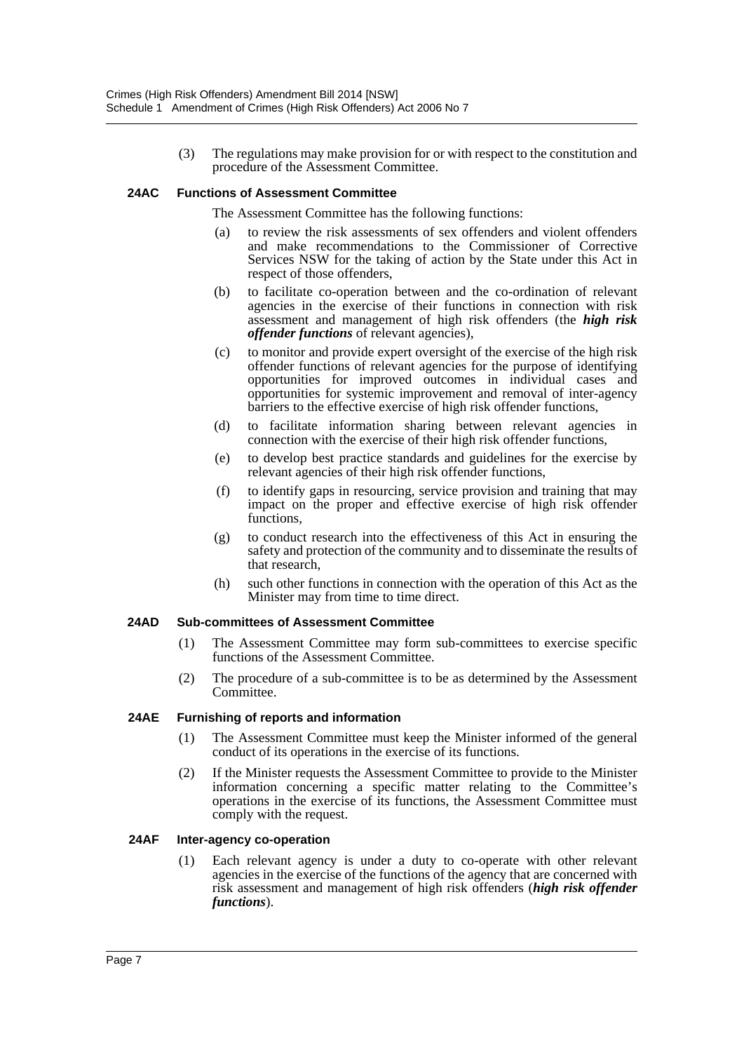(3) The regulations may make provision for or with respect to the constitution and procedure of the Assessment Committee.

#### **24AC Functions of Assessment Committee**

The Assessment Committee has the following functions:

- (a) to review the risk assessments of sex offenders and violent offenders and make recommendations to the Commissioner of Corrective Services NSW for the taking of action by the State under this Act in respect of those offenders,
- (b) to facilitate co-operation between and the co-ordination of relevant agencies in the exercise of their functions in connection with risk assessment and management of high risk offenders (the *high risk offender functions* of relevant agencies),
- (c) to monitor and provide expert oversight of the exercise of the high risk offender functions of relevant agencies for the purpose of identifying opportunities for improved outcomes in individual cases and opportunities for systemic improvement and removal of inter-agency barriers to the effective exercise of high risk offender functions,
- (d) to facilitate information sharing between relevant agencies in connection with the exercise of their high risk offender functions,
- (e) to develop best practice standards and guidelines for the exercise by relevant agencies of their high risk offender functions,
- (f) to identify gaps in resourcing, service provision and training that may impact on the proper and effective exercise of high risk offender functions,
- (g) to conduct research into the effectiveness of this Act in ensuring the safety and protection of the community and to disseminate the results of that research,
- (h) such other functions in connection with the operation of this Act as the Minister may from time to time direct.

#### **24AD Sub-committees of Assessment Committee**

- (1) The Assessment Committee may form sub-committees to exercise specific functions of the Assessment Committee.
- (2) The procedure of a sub-committee is to be as determined by the Assessment Committee.

#### **24AE Furnishing of reports and information**

- (1) The Assessment Committee must keep the Minister informed of the general conduct of its operations in the exercise of its functions.
- (2) If the Minister requests the Assessment Committee to provide to the Minister information concerning a specific matter relating to the Committee's operations in the exercise of its functions, the Assessment Committee must comply with the request.

#### **24AF Inter-agency co-operation**

(1) Each relevant agency is under a duty to co-operate with other relevant agencies in the exercise of the functions of the agency that are concerned with risk assessment and management of high risk offenders (*high risk offender functions*).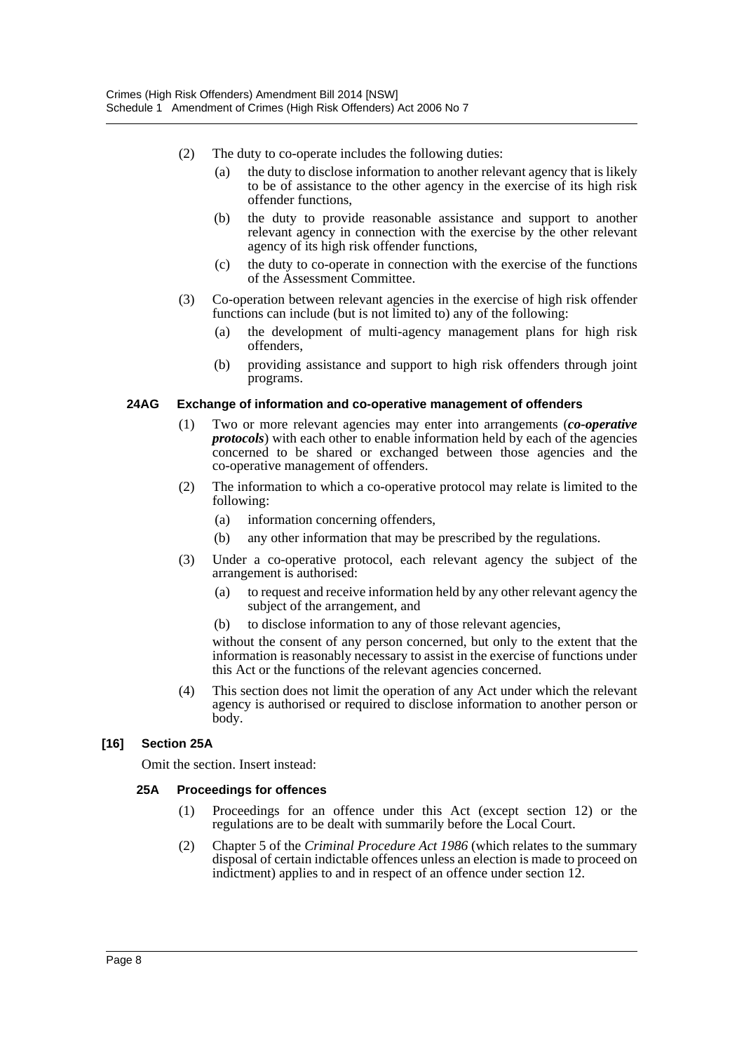- (2) The duty to co-operate includes the following duties:
	- (a) the duty to disclose information to another relevant agency that is likely to be of assistance to the other agency in the exercise of its high risk offender functions,
	- (b) the duty to provide reasonable assistance and support to another relevant agency in connection with the exercise by the other relevant agency of its high risk offender functions,
	- (c) the duty to co-operate in connection with the exercise of the functions of the Assessment Committee.
- (3) Co-operation between relevant agencies in the exercise of high risk offender functions can include (but is not limited to) any of the following:
	- (a) the development of multi-agency management plans for high risk offenders,
	- (b) providing assistance and support to high risk offenders through joint programs.

#### **24AG Exchange of information and co-operative management of offenders**

- (1) Two or more relevant agencies may enter into arrangements (*co-operative protocols*) with each other to enable information held by each of the agencies concerned to be shared or exchanged between those agencies and the co-operative management of offenders.
- (2) The information to which a co-operative protocol may relate is limited to the following:
	- (a) information concerning offenders,
	- (b) any other information that may be prescribed by the regulations.
- (3) Under a co-operative protocol, each relevant agency the subject of the arrangement is authorised:
	- (a) to request and receive information held by any other relevant agency the subject of the arrangement, and
	- (b) to disclose information to any of those relevant agencies,

without the consent of any person concerned, but only to the extent that the information is reasonably necessary to assist in the exercise of functions under this Act or the functions of the relevant agencies concerned.

(4) This section does not limit the operation of any Act under which the relevant agency is authorised or required to disclose information to another person or body.

#### **[16] Section 25A**

Omit the section. Insert instead:

#### **25A Proceedings for offences**

- (1) Proceedings for an offence under this Act (except section 12) or the regulations are to be dealt with summarily before the Local Court.
- (2) Chapter 5 of the *Criminal Procedure Act 1986* (which relates to the summary disposal of certain indictable offences unless an election is made to proceed on indictment) applies to and in respect of an offence under section 12.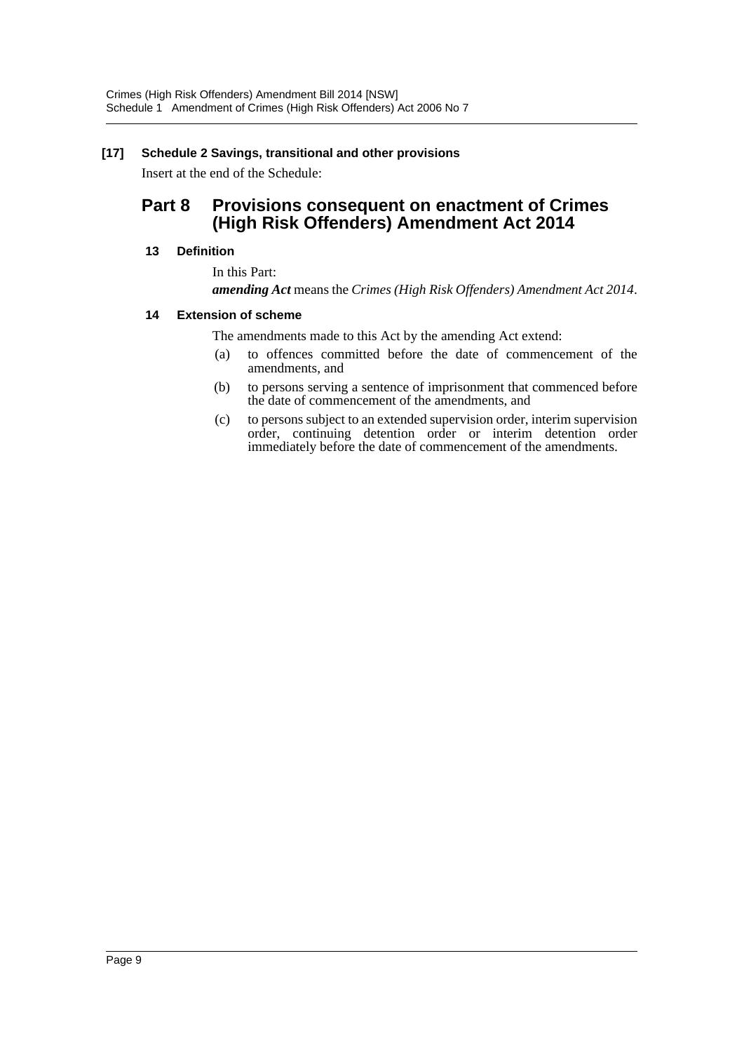## **[17] Schedule 2 Savings, transitional and other provisions**

Insert at the end of the Schedule:

# **Part 8 Provisions consequent on enactment of Crimes (High Risk Offenders) Amendment Act 2014**

#### **13 Definition**

In this Part: *amending Act* means the *Crimes (High Risk Offenders) Amendment Act 2014*.

#### **14 Extension of scheme**

The amendments made to this Act by the amending Act extend:

- (a) to offences committed before the date of commencement of the amendments, and
- (b) to persons serving a sentence of imprisonment that commenced before the date of commencement of the amendments, and
- (c) to persons subject to an extended supervision order, interim supervision order, continuing detention order or interim detention order immediately before the date of commencement of the amendments.